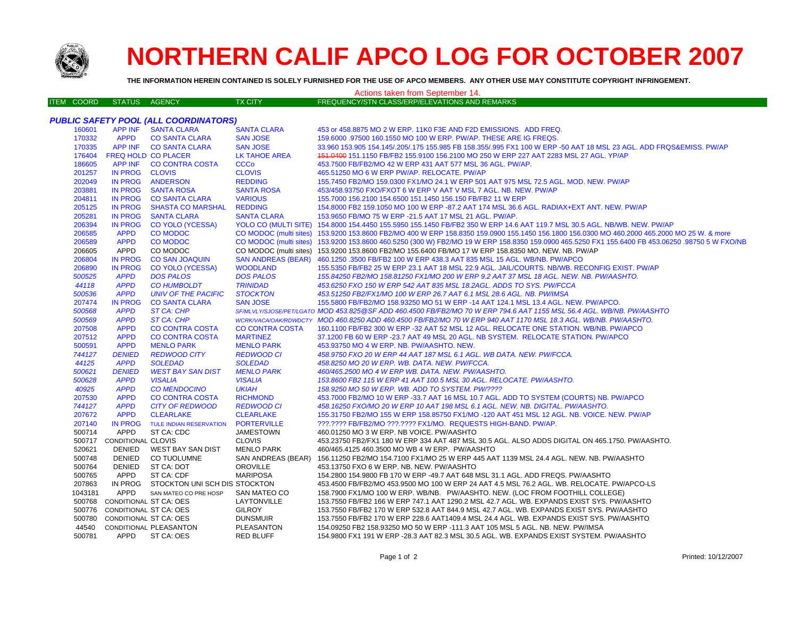

## **NORTHERN CALIF APCO LOG FOR OCTOBER 2007**

**THE INFORMATION HEREIN CONTAINED IS SOLELY FURNISHED FOR THE USE OF APCO MEMBERS. ANY OTHER USE MAY CONSTITUTE COPYRIGHT INFRINGEMENT.**

| Actions taken from September 14.<br><b>ITEM COORD</b> |                   |                               |                                       |                                    |                                                                                                                                                                                       |  |  |  |  |
|-------------------------------------------------------|-------------------|-------------------------------|---------------------------------------|------------------------------------|---------------------------------------------------------------------------------------------------------------------------------------------------------------------------------------|--|--|--|--|
|                                                       |                   | <b>STATUS</b>                 | AGENCY                                | <b>TX CITY</b>                     | <b>FREQUENCY/STN CLASS/ERP/ELEVATIONS AND REMARKS</b>                                                                                                                                 |  |  |  |  |
| PUBLIC SAFETY POOL (ALL COORDINATORS)                 |                   |                               |                                       |                                    |                                                                                                                                                                                       |  |  |  |  |
|                                                       | 160601            | <b>APP INF</b>                | <b>SANTA CLARA</b>                    | <b>SANTA CLARA</b>                 | 453 or 458.8875 MO 2 W ERP. 11K0 F3E AND F2D EMISSIONS. ADD FREQ.                                                                                                                     |  |  |  |  |
|                                                       | 170332            | <b>APPD</b>                   | <b>CO SANTA CLARA</b>                 | <b>SAN JOSE</b>                    | 159.6000 .97500 160.1550 MO 100 W ERP. PW/AP. THESE ARE IG FREQS.                                                                                                                     |  |  |  |  |
|                                                       | 170335            |                               | APP INF CO SANTA CLARA                | <b>SAN JOSE</b>                    | 33.960 153.905 154.145/.205/.175 155.985 FB 158.355/.995 FX1 100 W ERP -50 AAT 18 MSL 23 AGL. ADD FRQS&EMISS. PW/AP                                                                   |  |  |  |  |
|                                                       | 176404            | <b>FREQ HOLD CO PLACER</b>    |                                       | <b>LK TAHOE AREA</b>               | 451.0400 151.1150 FB/FB2 155.9100 156.2100 MO 250 W ERP 227 AAT 2283 MSL 27 AGL. YP/AP                                                                                                |  |  |  |  |
|                                                       | 186605            | APP INF                       | <b>CO CONTRA COSTA</b>                | <b>CCCo</b>                        | 453.7500 FB/FB2/MO 42 W ERP 431 AAT 577 MSL 36 AGL. PW/AP.                                                                                                                            |  |  |  |  |
|                                                       | 201257            | IN PROG                       | <b>CLOVIS</b>                         | <b>CLOVIS</b>                      | 465.51250 MO 6 W ERP PW/AP, RELOCATE, PW/AP                                                                                                                                           |  |  |  |  |
|                                                       | 202049            |                               | IN PROG ANDERSON                      | <b>REDDING</b>                     | 155.7450 FB2/MO 159.0300 FX1/MO 24.1 W ERP 501 AAT 975 MSL 72.5 AGL. MOD. NEW. PW/AP                                                                                                  |  |  |  |  |
|                                                       | 203881            | IN PROG                       | <b>SANTA ROSA</b>                     | <b>SANTA ROSA</b>                  | 453/458.93750 FXO/FXOT 6 W ERP V AAT V MSL 7 AGL. NB. NEW. PW/AP                                                                                                                      |  |  |  |  |
|                                                       | 204811            | <b>IN PROG</b>                | <b>CO SANTA CLARA</b>                 | <b>VARIOUS</b>                     | 155.7000 156.2100 154.6500 151.1450 156.150 FB/FB2 11 W ERP                                                                                                                           |  |  |  |  |
|                                                       | 205125            | <b>IN PROG</b>                | <b>SHASTA CO MARSHAL</b>              | <b>REDDING</b>                     | 154.8000 FB2 159.1050 MO 100 W ERP -87.2 AAT 174 MSL 36.6 AGL. RADIAX+EXT ANT. NEW. PW/AP                                                                                             |  |  |  |  |
|                                                       | 205281            | IN PROG                       | <b>SANTA CLARA</b>                    | <b>SANTA CLARA</b>                 | 153.9650 FB/MO 75 W ERP -21.5 AAT 17 MSL 21 AGL. PW/AP.                                                                                                                               |  |  |  |  |
|                                                       | 206394            | <b>IN PROG</b>                | <b>CO YOLO (YCESSA)</b>               |                                    | YOLO CO (MULTI SITE) 154.8000 154.4450 155.5950 155.1450 FB/FB2 350 W ERP 14.6 AAT 119.7 MSL 30.5 AGL. NB/WB. NEW. PW/AP                                                              |  |  |  |  |
|                                                       | 206585            | <b>APPD</b>                   | <b>CO MODOC</b>                       | CO MODOC (multi sites)             | 153.9200 153.8600 FB2/MO 400 W ERP 158.8350 159.0900 155.1450 156.1800 156.0300 MO 460.2000 465.2000 MO 25 W. & more                                                                  |  |  |  |  |
|                                                       | 206589            | <b>APPD</b>                   | <b>CO MODOC</b>                       |                                    | CO MODOC (multi sites) 153.9200 153.8600 460.5250 (300 W) FB2/MO 19 W ERP 158.8350 159.0900 465.5250 FX1 155.6400 FB 453.06250 .98750 5 W FXO/NB                                      |  |  |  |  |
|                                                       | 206605            | APPD                          | CO MODOC                              |                                    | CO MODOC (multi sites) 153.9200 153.8600 FB2/MO 155.6400 FB/MO 17 W ERP 158.8350 MO. NEW. NB. PW/AP                                                                                   |  |  |  |  |
|                                                       | 206804            | <b>IN PROG</b>                | <b>CO SAN JOAQUIN</b>                 | <b>SAN ANDREAS (BEAR)</b>          | 460.1250 .3500 FB/FB2 100 W ERP 438.3 AAT 835 MSL 15 AGL. WB/NB. PW/APCO                                                                                                              |  |  |  |  |
|                                                       | 206890            | <b>IN PROG</b>                | <b>CO YOLO (YCESSA)</b>               | <b>WOODLAND</b>                    | 155.5350 FB/FB2 25 W ERP 23.1 AAT 18 MSL 22.9 AGL. JAIL/COURTS. NB/WB. RECONFIG EXIST. PW/AP                                                                                          |  |  |  |  |
|                                                       | 500525            | <b>APPD</b>                   | <b>DOS PALOS</b>                      | <b>DOS PALOS</b>                   | 155.84250 FB2/MO 158.81250 FX1/MO 200 W ERP 9.2 AAT 37 MSL 18 AGL. NEW. NB. PW/AASHTO.                                                                                                |  |  |  |  |
|                                                       | 44118             | <b>APPD</b>                   | <b>CO HUMBOLDT</b>                    | <b>TRINIDAD</b>                    | 453.6250 FXO 150 W ERP 542 AAT 835 MSL 18.2AGL. ADDS TO SYS. PW/FCCA                                                                                                                  |  |  |  |  |
|                                                       | 500536            | <b>APPD</b>                   | <b>UNIV OF THE PACIFIC</b>            | <b>STOCKTON</b>                    | 453.51250 FB2/FX1/MO 100 W ERP 26.7 AAT 6.1 MSL 28.6 AGL. NB. PW/IMSA                                                                                                                 |  |  |  |  |
|                                                       | 207474            | <b>IN PROG</b>                | <b>CO SANTA CLARA</b>                 | <b>SAN JOSE</b>                    | 155.5800 FB/FB2/MO 158.93250 MO 51 W ERP -14 AAT 124.1 MSL 13.4 AGL. NEW. PW/APCO.                                                                                                    |  |  |  |  |
|                                                       | 500568            | <b>APPD</b>                   | <b>ST CA: CHP</b>                     |                                    | SF/MLVLY/SJOSE/PET/LGATO MOD 453.825@SF ADD 460.4500 FB/FB2/MO 70 W ERP 794.6 AAT 1155 MSL 56.4 AGL. WB/NB. PW/AASHTO                                                                 |  |  |  |  |
|                                                       | 500569            | <b>APPD</b>                   | ST CA: CHP                            |                                    | WCRKVACA/OAK/RDWDCTY MOD 460.8250 ADD 460.4500 FB/FB2/MO 70 W ERP 940 AAT 1170 MSL 18.3 AGL. WB/NB. PW/AASHTO.                                                                        |  |  |  |  |
|                                                       | 207508            | <b>APPD</b>                   | <b>CO CONTRA COSTA</b>                | <b>CO CONTRA COSTA</b>             | 160.1100 FB/FB2 300 W ERP -32 AAT 52 MSL 12 AGL. RELOCATE ONE STATION. WB/NB. PW/APCO                                                                                                 |  |  |  |  |
|                                                       | 207512            | <b>APPD</b>                   | <b>CO CONTRA COSTA</b>                | <b>MARTINEZ</b>                    | 37.1200 FB 60 W ERP -23.7 AAT 49 MSL 20 AGL. NB SYSTEM. RELOCATE STATION. PW/APCO                                                                                                     |  |  |  |  |
|                                                       | 500591            | <b>APPD</b>                   | <b>MENLO PARK</b>                     | <b>MENLO PARK</b>                  | 453.93750 MO 4 W ERP. NB. PW/AASHTO. NEW.                                                                                                                                             |  |  |  |  |
|                                                       | 744127            | <b>DENIED</b>                 | <b>REDWOOD CITY</b>                   | <b>REDWOOD CI</b>                  | 458.9750 FXO 20 W ERP 44 AAT 187 MSL 6.1 AGL. WB DATA. NEW. PW/FCCA.                                                                                                                  |  |  |  |  |
|                                                       | 44125             | <b>APPD</b>                   | <b>SOLEDAD</b>                        | <b>SOLEDAD</b>                     | 458.8250 MO 20 W ERP. WB. DATA. NEW. PW/FCCA.                                                                                                                                         |  |  |  |  |
|                                                       | 500621            | <b>DENIED</b>                 | <b>WEST BAY SAN DIST</b>              | <b>MENLO PARK</b>                  | 460/465.2500 MO 4 W ERP WB. DATA. NEW. PW/AASHTO.                                                                                                                                     |  |  |  |  |
|                                                       | 500628            | <b>APPD</b>                   | <b>VISALIA</b>                        | <b>VISALIA</b>                     | 153.8600 FB2 115 W ERP 41 AAT 100.5 MSL 30 AGL. RELOCATE. PW/AASHTO.                                                                                                                  |  |  |  |  |
|                                                       | 40925             | <b>APPD</b>                   | <b>CO MENDOCINO</b>                   | <b>UKIAH</b>                       | 158.9250 MO 50 W ERP. WB. ADD TO SYSTEM. PW/????                                                                                                                                      |  |  |  |  |
|                                                       | 207530            | <b>APPD</b>                   | <b>CO CONTRA COSTA</b>                | <b>RICHMOND</b>                    | 453.7000 FB2/MO 10 W ERP -33.7 AAT 16 MSL 10.7 AGL. ADD TO SYSTEM (COURTS) NB. PW/APCO                                                                                                |  |  |  |  |
|                                                       | 744127            | <b>APPD</b>                   | <b>CITY OF REDWOOD</b>                | <b>REDWOOD CI</b>                  | 458.16250 FXO/MO 20 W ERP 10 AAT 198 MSL 6.1 AGL. NEW. NB. DIGITAL. PW/AASHTO.                                                                                                        |  |  |  |  |
|                                                       | 207672            | <b>APPD</b>                   | <b>CLEARLAKE</b>                      | <b>CLEARLAKE</b>                   | 155.31750 FB2/MO 155 W ERP 158.85750 FX1/MO -120 AAT 451 MSL 12 AGL. NB. VOICE. NEW. PW/AP                                                                                            |  |  |  |  |
|                                                       | 207140            | <b>IN PROG</b>                | TULE INDIAN RESERVATION               | <b>PORTERVILLE</b>                 | ???.???? FB/FB2/MO ???.???? FX1/MO. REQUESTS HIGH-BAND. PW/AP.                                                                                                                        |  |  |  |  |
|                                                       | 500714            | <b>APPD</b>                   | ST CA: CDC                            | <b>JAMESTOWN</b>                   | 460.01250 MO 3 W ERP. NB VOICE. PW/AASHTO                                                                                                                                             |  |  |  |  |
|                                                       | 500717            | CONDITIONAL CLOVIS            |                                       | <b>CLOVIS</b>                      | 453.23750 FB2/FX1 180 W ERP 334 AAT 487 MSL 30.5 AGL. ALSO ADDS DIGITAL ON 465.1750. PW/AASHTO.                                                                                       |  |  |  |  |
|                                                       | 520621            | DENIED                        | WEST BAY SAN DIST                     | <b>MENLO PARK</b>                  | 460/465.4125 460.3500 MO WB 4 W ERP. PW/AASHTO                                                                                                                                        |  |  |  |  |
|                                                       | 500748            | DENIED                        | CO TUOLUMNE                           | SAN ANDREAS (BEAR)                 | 156.11250 FB2/MO 154.7100 FX1/MO 25 W ERP 445 AAT 1139 MSL 24.4 AGL. NEW. NB. PW/AASHTO                                                                                               |  |  |  |  |
|                                                       | 500764            | DENIED<br>APPD                | ST CA: DOT<br>ST CA: CDF              | <b>OROVILLE</b><br><b>MARIPOSA</b> | 453.13750 FXO 6 W ERP. NB. NEW. PW/AASHTO                                                                                                                                             |  |  |  |  |
|                                                       | 500765            |                               |                                       |                                    | 154.2800 154.9800 FB 170 W ERP -49.7 AAT 648 MSL 31.1 AGL. ADD FREQS. PW/AASHTO                                                                                                       |  |  |  |  |
|                                                       | 207863            | APPD                          | IN PROG STOCKTON UNI SCH DIS STOCKTON |                                    | 453.4500 FB/FB2/MO 453.9500 MO 100 W ERP 24 AAT 4.5 MSL 76.2 AGL. WB. RELOCATE. PW/APCO-LS                                                                                            |  |  |  |  |
|                                                       | 1043181<br>500768 | <b>CONDITIONAL ST CA: OES</b> | SAN MATEO CO PRE HOSP                 | SAN MATEO CO<br>LAYTONVILLE        | 158.7900 FX1/MO 100 W ERP. WB/NB. PW/AASHTO. NEW. (LOC FROM FOOTHILL COLLEGE)                                                                                                         |  |  |  |  |
|                                                       |                   | 500776 CONDITIONAL ST CA: OES |                                       | <b>GILROY</b>                      | 153.7550 FB/FB2 166 W ERP 747.1 AAT 1290.2 MSL 42.7 AGL. WB. EXPANDS EXIST SYS. PW/AASHTO<br>153.7550 FB/FB2 170 W ERP 532.8 AAT 844.9 MSL 42.7 AGL. WB. EXPANDS EXIST SYS. PW/AASHTO |  |  |  |  |
|                                                       |                   | 500780 CONDITIONAL ST CA: OES |                                       |                                    |                                                                                                                                                                                       |  |  |  |  |
|                                                       | 44540             |                               | CONDITIONAL PLEASANTON                | <b>DUNSMUIR</b><br>PLEASANTON      | 153.7550 FB/FB2 170 W ERP 228.6 AAT1409.4 MSL 24.4 AGL. WB. EXPANDS EXIST SYS. PW/AASHTO<br>154.09250 FB2 158.93250 MO 50 W ERP -111.3 AAT 105 MSL 5 AGL. NB. NEW. PW/IMSA            |  |  |  |  |
|                                                       | 500781            | APPD                          | ST CA: OES                            | <b>RED BLUFF</b>                   | 154.9800 FX1 191 W ERP -28.3 AAT 82.3 MSL 30.5 AGL. WB. EXPANDS EXIST SYSTEM. PW/AASHTO                                                                                               |  |  |  |  |
|                                                       |                   |                               |                                       |                                    |                                                                                                                                                                                       |  |  |  |  |